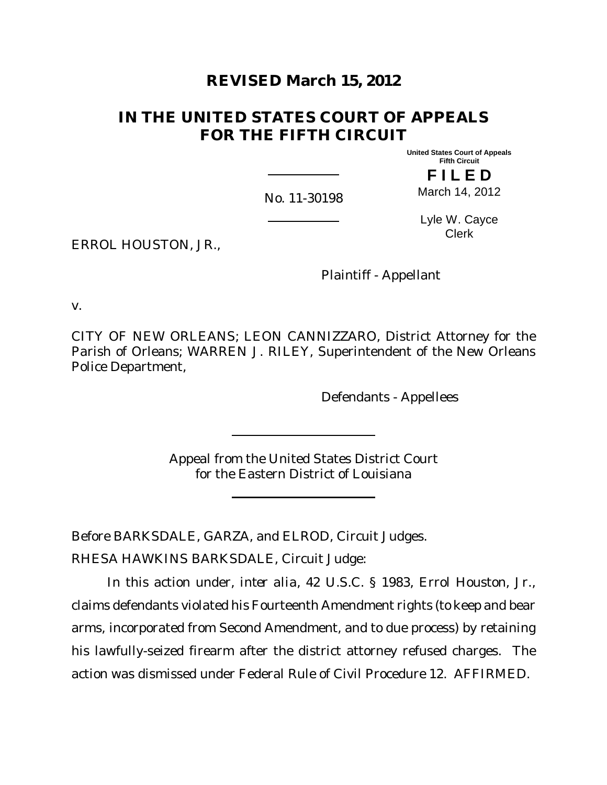# **REVISED March 15, 2012**

# **IN THE UNITED STATES COURT OF APPEALS FOR THE FIFTH CIRCUIT**

**United States Court of Appeals Fifth Circuit**

**F I L E D** March 14, 2012

No. 11-30198

Lyle W. Cayce Clerk

ERROL HOUSTON, JR.,

Plaintiff - Appellant

v.

CITY OF NEW ORLEANS; LEON CANNIZZARO, District Attorney for the Parish of Orleans; WARREN J. RILEY, Superintendent of the New Orleans Police Department,

Defendants - Appellees

Appeal from the United States District Court for the Eastern District of Louisiana

Before BARKSDALE, GARZA, and ELROD, Circuit Judges.

RHESA HAWKINS BARKSDALE, Circuit Judge:

In this action under, *inter alia*, 42 U.S.C. § 1983, Errol Houston, Jr., claims defendants violated his Fourteenth Amendment rights (to keep and bear arms, incorporated from Second Amendment, and to due process) by retaining his lawfully-seized firearm after the district attorney refused charges. The action was dismissed under Federal Rule of Civil Procedure 12. AFFIRMED.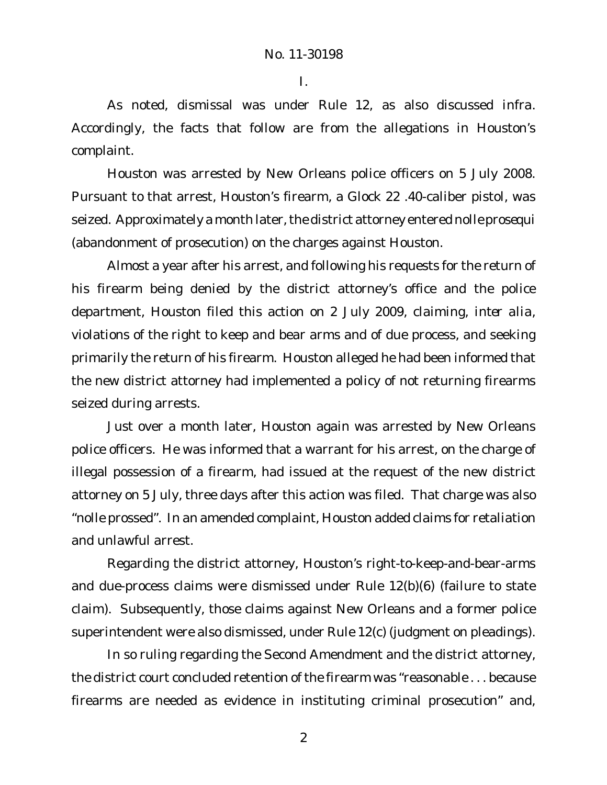I.

As noted, dismissal was under Rule 12, as also discussed *infra*. Accordingly, the facts that follow are from the allegations in Houston's complaint.

Houston was arrested by New Orleans police officers on 5 July 2008. Pursuant to that arrest, Houston's firearm, a Glock 22 .40-caliber pistol, was seized. Approximately a month later, the district attorney entered *nolle prosequi* (abandonment of prosecution) on the charges against Houston.

Almost a year after his arrest, and following his requests for the return of his firearm being denied by the district attorney's office and the police department, Houston filed this action on 2 July 2009, claiming, *inter alia*, violations of the right to keep and bear arms and of due process, and seeking primarily the return of his firearm. Houston alleged he had been informed that the new district attorney had implemented a policy of not returning firearms seized during arrests.

Just over a month later, Houston again was arrested by New Orleans police officers. He was informed that a warrant for his arrest, on the charge of illegal possession of a firearm, had issued at the request of the new district attorney on 5 July, three days after this action was filed. That charge was also "nolle prossed". In an amended complaint, Houston added claims for retaliation and unlawful arrest.

Regarding the district attorney, Houston's right-to-keep-and-bear-arms and due-process claims were dismissed under Rule 12(b)(6) (failure to state claim). Subsequently, those claims against New Orleans and a former police superintendent were also dismissed, under Rule 12(c) (judgment on pleadings).

In so ruling regarding the Second Amendment and the district attorney, the district court concluded retention of the firearm was "reasonable . . . because firearms are needed as evidence in instituting criminal prosecution" and,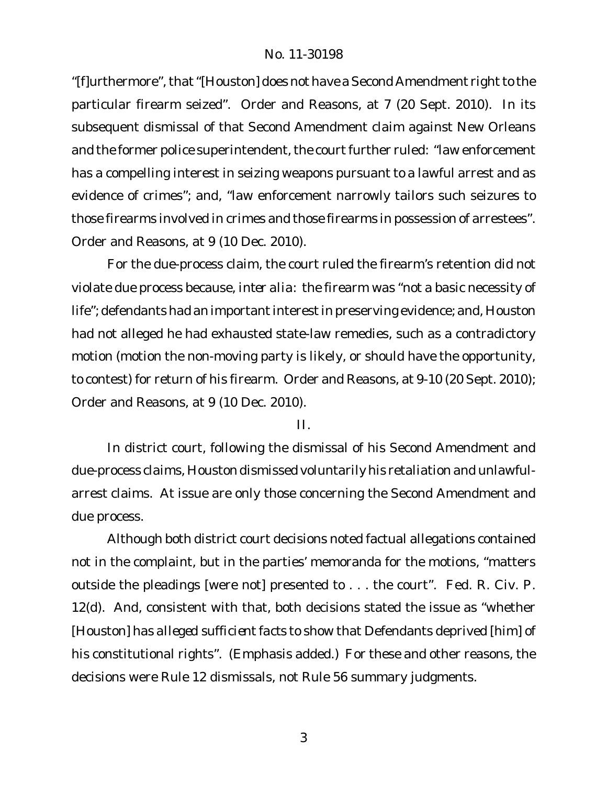"[f]urthermore", that "[Houston] does not have a Second Amendment right to the particular firearm seized". Order and Reasons, at 7 (20 Sept. 2010). In its subsequent dismissal of that Second Amendment claim against New Orleans and the former police superintendent, the court further ruled: "law enforcement has a compelling interest in seizing weapons pursuant to a lawful arrest and as evidence of crimes"; and, "law enforcement narrowly tailors such seizures to those firearms involved in crimes and those firearms in possession of arrestees". Order and Reasons, at 9 (10 Dec. 2010).

For the due-process claim, the court ruled the firearm's retention did not violate due process because, *inter alia*: the firearm was "not a basic necessity of life"; defendants had an important interest in preserving evidence; and, Houston had not alleged he had exhausted state-law remedies, such as a contradictory motion (motion the non-moving party is likely, or should have the opportunity, to contest) for return of his firearm. Order and Reasons, at 9-10 (20 Sept. 2010); Order and Reasons, at 9 (10 Dec. 2010).

II.

In district court, following the dismissal of his Second Amendment and due-process claims, Houston dismissed voluntarily his retaliation and unlawfularrest claims. At issue are only those concerning the Second Amendment and due process.

Although both district court decisions noted factual allegations contained not in the complaint, but in the parties' memoranda for the motions, "matters outside the pleadings [were not] presented to . . . the court". Fed. R. Civ. P. 12(d). And, consistent with that, both decisions stated the issue as "whether [Houston] has *alleged sufficient facts* to show that Defendants deprived [him] of his constitutional rights". (Emphasis added.) For these and other reasons, the decisions were Rule 12 dismissals, not Rule 56 summary judgments.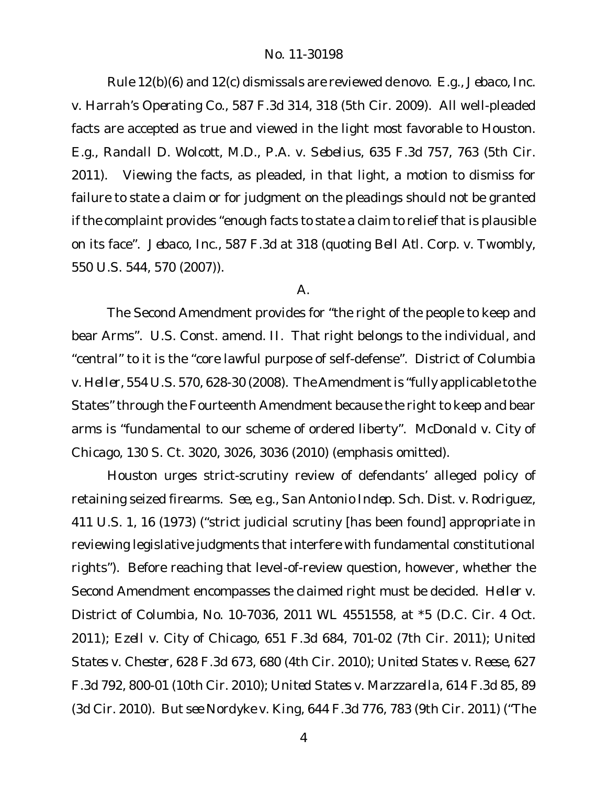Rule 12(b)(6) and 12(c) dismissals are reviewed *de novo*. *E.g.*, *Jebaco, Inc. v. Harrah's Operating Co.*, 587 F.3d 314, 318 (5th Cir. 2009). All well-pleaded facts are accepted as true and viewed in the light most favorable to Houston. *E.g.*, *Randall D. Wolcott, M.D., P.A. v. Sebelius*, 635 F.3d 757, 763 (5th Cir. 2011). Viewing the facts, as pleaded, in that light, a motion to dismiss for failure to state a claim or for judgment on the pleadings should not be granted if the complaint provides "enough facts to state a claim to relief that is plausible on its face". *Jebaco, Inc.*, 587 F.3d at 318 (quoting *Bell Atl. Corp. v. Twombly*, 550 U.S. 544, 570 (2007)).

#### A.

The Second Amendment provides for "the right of the people to keep and bear Arms". U.S. Const. amend. II. That right belongs to the individual, and "central" to it is the "core lawful purpose of self-defense". *District of Columbia v. Heller*, 554 U.S. 570, 628-30 (2008). The Amendment is "fully applicable to the States" through the Fourteenth Amendment because the right to keep and bear arms is "fundamental to our scheme of ordered liberty". *McDonald v. City of Chicago*, 130 S. Ct. 3020, 3026, 3036 (2010) (emphasis omitted).

Houston urges strict-scrutiny review of defendants' alleged policy of retaining seized firearms. *See, e.g.*, *San Antonio Indep. Sch. Dist. v. Rodriguez*, 411 U.S. 1, 16 (1973) ("strict judicial scrutiny [has been found] appropriate in reviewing legislative judgments that interfere with fundamental constitutional rights"). Before reaching that level-of-review question, however, whether the Second Amendment encompasses the claimed right must be decided. *Heller v. District of Columbia*, No. 10-7036, 2011 WL 4551558, at \*5 (D.C. Cir. 4 Oct. 2011); *Ezell v. City of Chicago*, 651 F.3d 684, 701-02 (7th Cir. 2011); *United States v. Chester*, 628 F.3d 673, 680 (4th Cir. 2010); *United States v. Reese*, 627 F.3d 792, 800-01 (10th Cir. 2010); *United States v. Marzzarella*, 614 F.3d 85, 89 (3d Cir. 2010). *But see Nordyke v. King*, 644 F.3d 776, 783 (9th Cir. 2011) ("The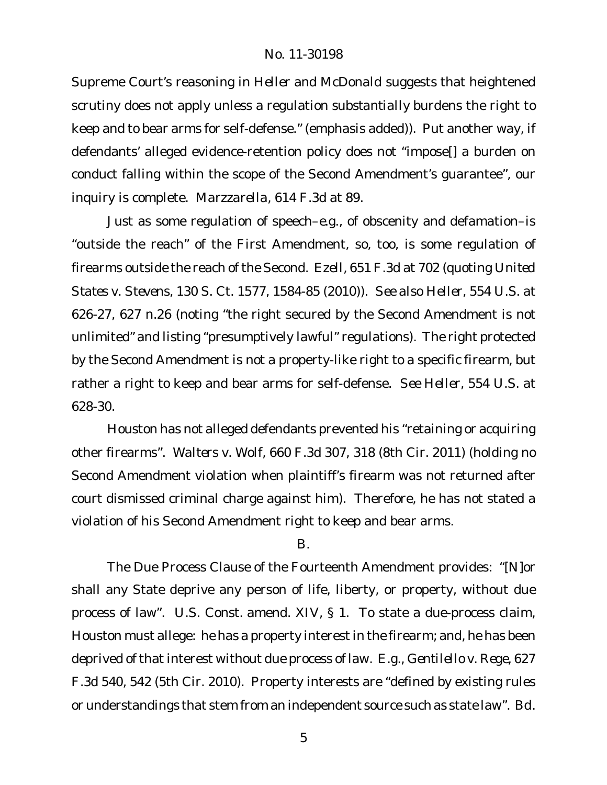Supreme Court's reasoning in *Heller* and *McDonald* suggests that heightened scrutiny does not apply unless a regulation *substantially* burdens the right to keep and to bear arms for self-defense." (emphasis added)). Put another way, if defendants' alleged evidence-retention policy does not "impose[] a burden on conduct falling within the scope of the Second Amendment's guarantee", our inquiry is complete. *Marzzarella*, 614 F.3d at 89.

Just as some regulation of speech–*e.g.*, of obscenity and defamation–is "outside the reach" of the First Amendment, so, too, is some regulation of firearms outside the reach of the Second. *Ezell*, 651 F.3d at 702 (quoting *United States v. Stevens*, 130 S. Ct. 1577, 1584-85 (2010)). *See also Heller*, 554 U.S. at 626-27, 627 n.26 (noting "the right secured by the Second Amendment is not unlimited" and listing "presumptively lawful" regulations). The right protected by the Second Amendment is not a property-like right to a specific firearm, but rather a right to keep and bear arms for self-defense. *See Heller*, 554 U.S. at 628-30.

Houston has not alleged defendants prevented his "retaining or acquiring other firearms". *Walters v. Wolf*, 660 F.3d 307, 318 (8th Cir. 2011) (holding no Second Amendment violation when plaintiff's firearm was not returned after court dismissed criminal charge against him). Therefore, he has not stated a violation of his Second Amendment right to keep and bear arms.

#### B.

The Due Process Clause of the Fourteenth Amendment provides: "[N]or shall any State deprive any person of life, liberty, or property, without due process of law". U.S. Const. amend. XIV, § 1. To state a due-process claim, Houston must allege: he has a property interest in the firearm; and, he has been deprived of that interest without due process of law. *E.g.*, *Gentilello v. Rege*, 627 F.3d 540, 542 (5th Cir. 2010). Property interests are "defined by existing rules or understandings that stem from an independent source such as state law". *Bd.*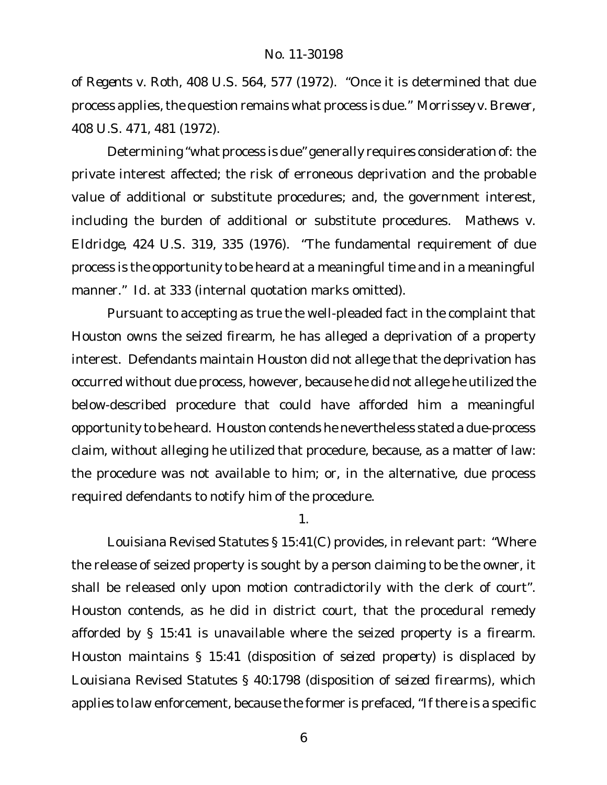*of Regents v. Roth*, 408 U.S. 564, 577 (1972). "Once it is determined that due process applies, the question remains what process is due." Morrissey v. Brewer, 408 U.S. 471, 481 (1972).

Determining "what process is due" generally requires consideration of: the private interest affected; the risk of erroneous deprivation and the probable value of additional or substitute procedures; and, the government interest, including the burden of additional or substitute procedures. *Mathews v. Eldridge*, 424 U.S. 319, 335 (1976). "The fundamental requirement of due process is the opportunity to be heard at a meaningful time and in a meaningful manner." *Id.* at 333 (internal quotation marks omitted).

Pursuant to accepting as true the well-pleaded fact in the complaint that Houston owns the seized firearm, he has alleged a deprivation of a property interest. Defendants maintain Houston did not allege that the deprivation has occurred without due process, however, because he did not allege he utilized the below-described procedure that could have afforded him a meaningful opportunity to be heard. Houston contends he nevertheless stated a due-process claim, without alleging he utilized that procedure, because, as a matter of law: the procedure was not available to him; or, in the alternative, due process required defendants to notify him of the procedure.

1.

Louisiana Revised Statutes § 15:41(C) provides, in relevant part: "Where the release of seized property is sought by a person claiming to be the owner, it shall be released only upon motion contradictorily with the clerk of court". Houston contends, as he did in district court, that the procedural remedy afforded by § 15:41 is unavailable where the seized property is a firearm. Houston maintains § 15:41 (disposition of *seized property*) is displaced by Louisiana Revised Statutes § 40:1798 (disposition of *seized firearms*), which applies to law enforcement, because the former is prefaced, "If there is a specific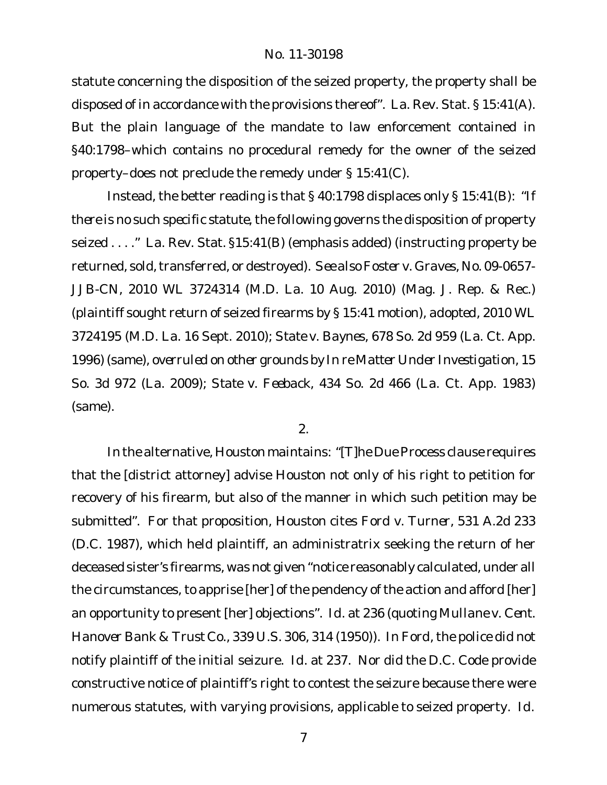statute concerning the disposition of the seized property, the property shall be disposed of in accordance with the provisions thereof". La. Rev. Stat. § 15:41(A). But the plain language of the mandate to law enforcement contained in §40:1798–which contains no procedural remedy for the owner of the seized property–does not preclude the remedy under § 15:41(C).

Instead, the better reading is that § 40:1798 displaces only § 15:41(B): "*If there is no such specific statute*, the following governs the disposition of property seized . . . ." La. Rev. Stat. §15:41(B) (emphasis added) (instructing property be returned, sold, transferred, or destroyed). *See also Foster v. Graves*, No. 09-0657- JJB-CN, 2010 WL 3724314 (M.D. La. 10 Aug. 2010) (Mag. J. Rep. & Rec.) (plaintiff sought return of seized firearms by § 15:41 motion), *adopted*, 2010 WL 3724195 (M.D. La. 16 Sept. 2010); *State v. Baynes*, 678 So. 2d 959 (La. Ct. App. 1996) (same), *overruled on other grounds by In re Matter Under Investigation*, 15 So. 3d 972 (La. 2009); *State v. Feeback*, 434 So. 2d 466 (La. Ct. App. 1983) (same).

2.

In the alternative, Houston maintains: "[T]he Due Process clause requires that the [district attorney] advise Houston not only of his right to petition for recovery of his firearm, but also of the manner in which such petition may be submitted". For that proposition, Houston cites *Ford v. Turner*, 531 A.2d 233 (D.C. 1987), which held plaintiff, an administratrix seeking the return of her deceased sister's firearms, was not given "notice reasonably calculated, under all the circumstances, to apprise [her] of the pendency of the action and afford [her] an opportunity to present [her] objections". *Id.* at 236 (quoting *Mullane v. Cent. Hanover Bank & Trust Co.*, 339 U.S. 306, 314 (1950)). In *Ford*, the police did not notify plaintiff of the initial seizure. *Id.* at 237. Nor did the D.C. Code provide constructive notice of plaintiff's right to contest the seizure because there were numerous statutes, with varying provisions, applicable to seized property. *Id.*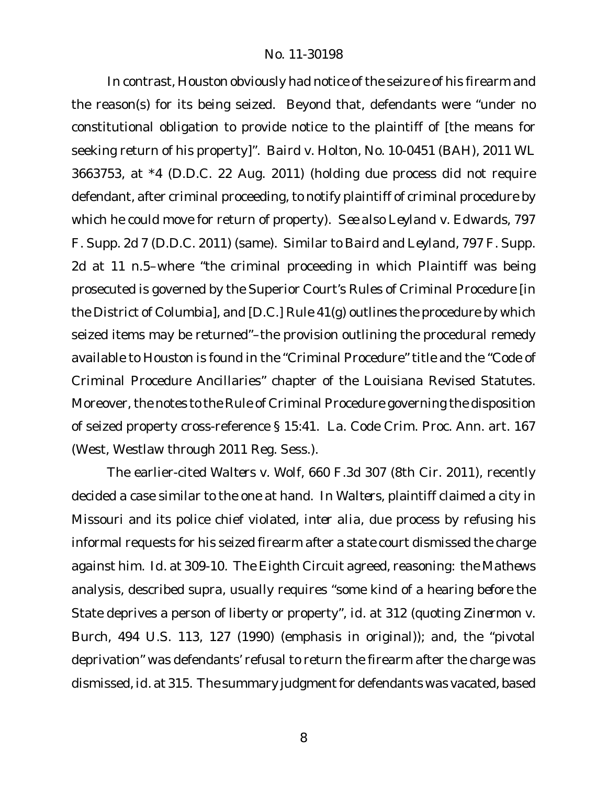In contrast, Houston obviously had notice of the seizure of his firearm and the reason(s) for its being seized. Beyond that, defendants were "under no constitutional obligation to provide notice to the plaintiff of [the means for seeking return of his property]". *Baird v. Holton*, No. 10-0451 (BAH), 2011 WL 3663753, at \*4 (D.D.C. 22 Aug. 2011) (holding due process did not require defendant, after criminal proceeding, to notify plaintiff of criminal procedure by which he could move for return of property). *See also Leyland v. Edwards*, 797 F. Supp. 2d 7 (D.D.C. 2011) (same). Similar to *Baird* and *Leyland*, 797 F. Supp. 2d at 11 n.5–where "the criminal proceeding in which Plaintiff was being prosecuted is governed by the Superior Court's Rules of Criminal Procedure [in the District of Columbia], and [D.C.] Rule 41(g) outlines the procedure by which seized items may be returned"–the provision outlining the procedural remedy available to Houston is found in the "Criminal Procedure" title and the "Code of Criminal Procedure Ancillaries" chapter of the Louisiana Revised Statutes. Moreover, the notes to the Rule of Criminal Procedure governing the disposition of seized property cross-reference § 15:41. La. Code Crim. Proc. Ann. art. 167 (West, Westlaw through 2011 Reg. Sess.).

The earlier-cited *Walters v. Wolf*, 660 F.3d 307 (8th Cir. 2011), recently decided a case similar to the one at hand. In *Walters*, plaintiff claimed a city in Missouri and its police chief violated, *inter alia*, due process by refusing his informal requests for his seized firearm after a state court dismissed the charge against him. *Id.* at 309-10. The Eighth Circuit agreed, reasoning: the *Mathews* analysis, described *supra*, usually requires "some kind of a hearing *before* the State deprives a person of liberty or property", *id.* at 312 (quoting *Zinermon v. Burch*, 494 U.S. 113, 127 (1990) (emphasis in original)); and, the "pivotal deprivation" was defendants' refusal to return the firearm after the charge was dismissed,*id.* at 315. The summary judgment for defendants was vacated, based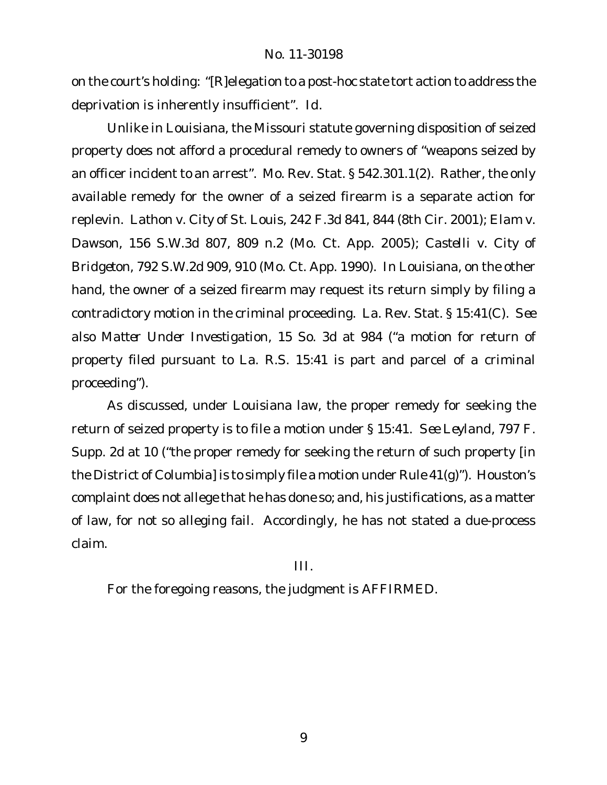on the court's holding: "[R]elegation to a post-hoc state tort action to address the deprivation is inherently insufficient". *Id.*

Unlike in Louisiana, the Missouri statute governing disposition of seized property does not afford a procedural remedy to owners of "weapons seized by an officer incident to an arrest". Mo. Rev. Stat. § 542.301.1(2). Rather, the only available remedy for the owner of a seized firearm is a separate action for replevin. *Lathon v. City of St. Louis*, 242 F.3d 841, 844 (8th Cir. 2001); *Elam v. Dawson*, 156 S.W.3d 807, 809 n.2 (Mo. Ct. App. 2005); *Castelli v. City of Bridgeton*, 792 S.W.2d 909, 910 (Mo. Ct. App. 1990). In Louisiana, on the other hand, the owner of a seized firearm may request its return simply by filing a contradictory motion in the criminal proceeding. La. Rev. Stat. § 15:41(C). *See also Matter Under Investigation*, 15 So. 3d at 984 ("a motion for return of property filed pursuant to La. R.S. 15:41 is part and parcel of a criminal proceeding").

As discussed, under Louisiana law, the proper remedy for seeking the return of seized property is to file a motion under § 15:41. *See Leyland*, 797 F. Supp. 2d at 10 ("the proper remedy for seeking the return of such property [in the District of Columbia] is to simply file a motion under Rule 41(g)"). Houston's complaint does not allege that he has done so; and, his justifications, as a matter of law, for not so alleging fail. Accordingly, he has not stated a due-process claim.

III.

For the foregoing reasons, the judgment is AFFIRMED.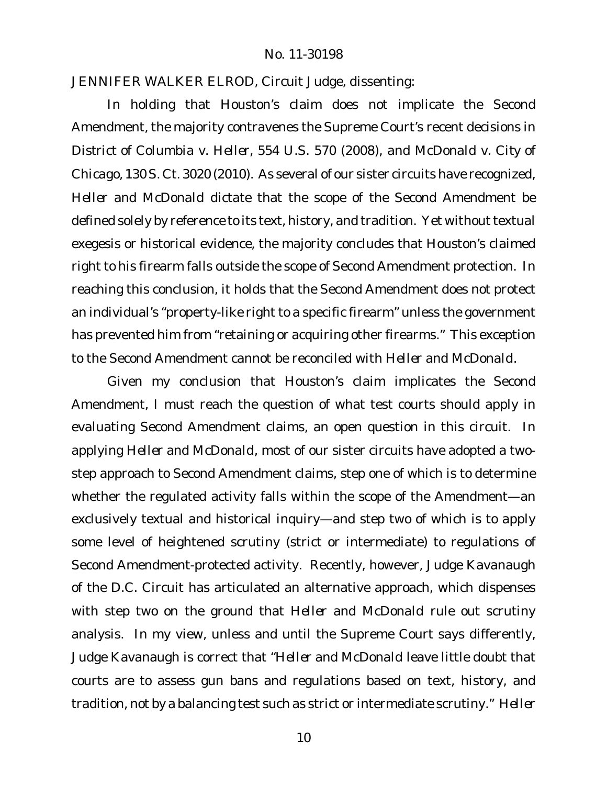JENNIFER WALKER ELROD, Circuit Judge, dissenting:

In holding that Houston's claim does not implicate the Second Amendment, the majority contravenes the Supreme Court's recent decisions in *District of Columbia v. Heller*, 554 U.S. 570 (2008), and *McDonald v. City of Chicago*, 130 S. Ct. 3020 (2010). As several of our sister circuits have recognized, *Heller* and *McDonald* dictate that the scope of the Second Amendment be defined solely by reference to its text, history, and tradition. Yet without textual exegesis or historical evidence, the majority concludes that Houston's claimed right to his firearm falls outside the scope of Second Amendment protection. In reaching this conclusion, it holds that the Second Amendment does not protect an individual's "property-like right to a specific firearm" unless the government has prevented him from "retaining or acquiring other firearms." This exception to the Second Amendment cannot be reconciled with *Heller* and *McDonald*.

Given my conclusion that Houston's claim implicates the Second Amendment, I must reach the question of what test courts should apply in evaluating Second Amendment claims, an open question in this circuit. In applying *Heller* and *McDonald*, most of our sister circuits have adopted a twostep approach to Second Amendment claims, step one of which is to determine whether the regulated activity falls within the scope of the Amendment—an exclusively textual and historical inquiry—and step two of which is to apply some level of heightened scrutiny (strict or intermediate) to regulations of Second Amendment-protected activity. Recently, however, Judge Kavanaugh of the D.C. Circuit has articulated an alternative approach, which dispenses with step two on the ground that *Heller* and *McDonald* rule out scrutiny analysis. In my view, unless and until the Supreme Court says differently, Judge Kavanaugh is correct that "*Heller* and *McDonald* leave little doubt that courts are to assess gun bans and regulations based on text, history, and tradition, not by a balancing test such as strict or intermediate scrutiny." *Heller*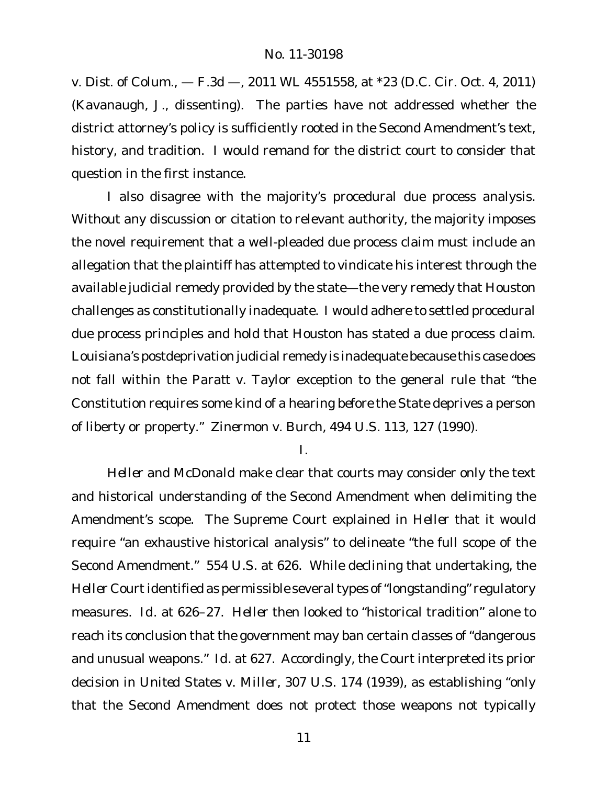*v. Dist. of Colum.*, — F.3d —, 2011 WL 4551558, at \*23 (D.C. Cir. Oct. 4, 2011) (Kavanaugh, J., dissenting). The parties have not addressed whether the district attorney's policy is sufficiently rooted in the Second Amendment's text, history, and tradition. I would remand for the district court to consider that question in the first instance.

I also disagree with the majority's procedural due process analysis. Without any discussion or citation to relevant authority, the majority imposes the novel requirement that a well-pleaded due process claim must include an allegation that the plaintiff has attempted to vindicate his interest through the available judicial remedy provided by the state—the very remedy that Houston challenges as constitutionally inadequate. I would adhere to settled procedural due process principles and hold that Houston has stated a due process claim. Louisiana's postdeprivation judicial remedy is inadequate because this case does not fall within the *Paratt v. Taylor* exception to the general rule that "the Constitution requires some kind of a hearing *before* the State deprives a person of liberty or property." *Zinermon v. Burch*, 494 U.S. 113, 127 (1990).

I.

*Heller* and *McDonald* make clear that courts may consider only the text and historical understanding of the Second Amendment when delimiting the Amendment's scope. The Supreme Court explained in *Heller* that it would require "an exhaustive historical analysis" to delineate "the full scope of the Second Amendment." 554 U.S. at 626. While declining that undertaking, the *Heller* Court identified as permissible several types of "longstanding" regulatory measures. *Id.* at 626–27. *Heller* then looked to "historical tradition" alone to reach its conclusion that the government may ban certain classes of "dangerous and unusual weapons." *Id.* at 627. Accordingly, the Court interpreted its prior decision in *United States v. Miller*, 307 U.S. 174 (1939), as establishing "only that the Second Amendment does not protect those weapons not typically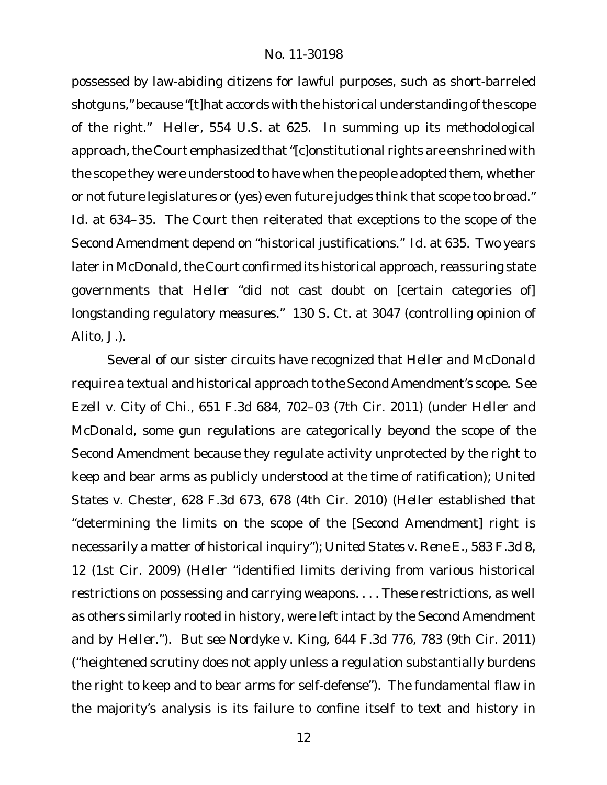possessed by law-abiding citizens for lawful purposes, such as short-barreled shotguns," because "[t]hat accords with the historical understanding ofthe scope of the right." *Heller*, 554 U.S. at 625. In summing up its methodological approach, the Court emphasized that "[c]onstitutional rights are enshrined with the scope they were understood to have when the people adopted them, whether or not future legislatures or (yes) even future judges think that scope too broad." *Id.* at 634–35. The Court then reiterated that exceptions to the scope of the Second Amendment depend on "historical justifications." *Id.* at 635. Two years later in *McDonald*, the Court confirmed its historical approach, reassuring state governments that *Heller* "did not cast doubt on [certain categories of] longstanding regulatory measures." 130 S. Ct. at 3047 (controlling opinion of Alito, J.).

Several of our sister circuits have recognized that *Heller* and *McDonald* require a textual and historical approach to the Second Amendment's scope. *See Ezell v. City of Chi.*, 651 F.3d 684, 702–03 (7th Cir. 2011) (under *Heller* and *McDonald*, some gun regulations are categorically beyond the scope of the Second Amendment because they regulate activity unprotected by the right to keep and bear arms as publicly understood at the time of ratification); *United States v. Chester*, 628 F.3d 673, 678 (4th Cir. 2010) (*Heller* established that "determining the limits on the scope of the [Second Amendment] right is necessarily a matter of historical inquiry"); *United States v. Rene E.*, 583 F.3d 8, 12 (1st Cir. 2009) (*Heller* "identified limits deriving from various historical restrictions on possessing and carrying weapons. . . . These restrictions, as well as others similarly rooted in history, were left intact by the Second Amendment and by *Heller*."). *But see Nordyke v. King*, 644 F.3d 776, 783 (9th Cir. 2011) ("heightened scrutiny does not apply unless a regulation substantially burdens the right to keep and to bear arms for self-defense"). The fundamental flaw in the majority's analysis is its failure to confine itself to text and history in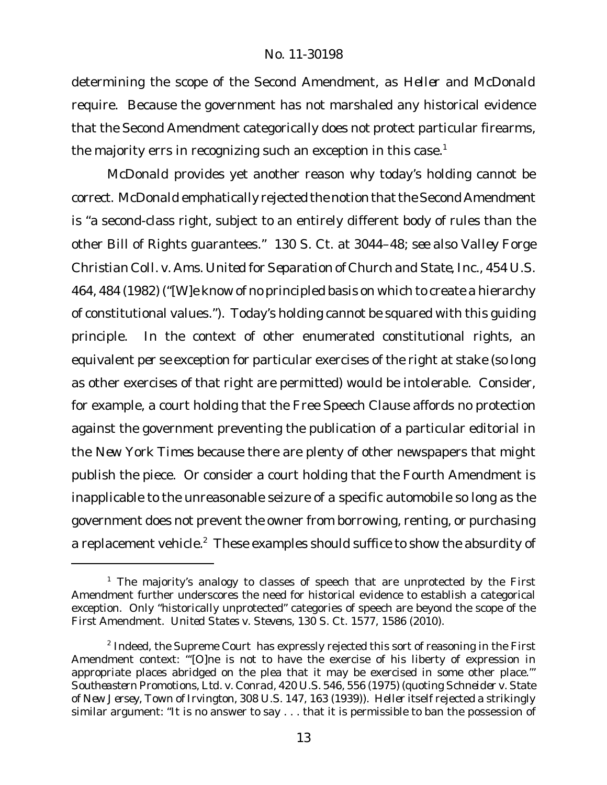determining the scope of the Second Amendment, as *Heller* and *McDonald* require. Because the government has not marshaled any historical evidence that the Second Amendment categorically does not protect particular firearms, the majority errs in recognizing such an exception in this case.<sup>1</sup>

*McDonald* provides yet another reason why today's holding cannot be correct. McDonald emphatically rejected the notion that the Second Amendment is "a second-class right, subject to an entirely different body of rules than the other Bill of Rights guarantees." 130 S. Ct. at 3044–48; *see also Valley Forge Christian Coll. v. Ams. United for Separation of Church and State, Inc.*, 454 U.S. 464, 484 (1982) ("[W]e know of no principled basis on which to create a hierarchy of constitutional values."). Today's holding cannot be squared with this guiding principle. In the context of other enumerated constitutional rights, an equivalent *per se* exception for particular exercises of the right at stake (so long as other exercises of that right are permitted) would be intolerable. Consider, for example, a court holding that the Free Speech Clause affords no protection against the government preventing the publication of a particular editorial in the *New York Times* because there are plenty of other newspapers that might publish the piece. Or consider a court holding that the Fourth Amendment is inapplicable to the unreasonable seizure of a specific automobile so long as the government does not prevent the owner from borrowing, renting, or purchasing a replacement vehicle.<sup>2</sup> These examples should suffice to show the absurdity of

<sup>&</sup>lt;sup>1</sup> The majority's analogy to classes of speech that are unprotected by the First Amendment further underscores the need for historical evidence to establish a categorical exception. Only "historically unprotected" categories of speech are beyond the scope of the First Amendment. *United States v. Stevens*, 130 S. Ct. 1577, 1586 (2010).

 $^2$  Indeed, the Supreme Court has expressly rejected this sort of reasoning in the First Amendment context: "'[O]ne is not to have the exercise of his liberty of expression in appropriate places abridged on the plea that it may be exercised in some other place.'" *Southeastern Promotions, Ltd. v. Conrad*, 420 U.S. 546, 556 (1975) (quoting *Schneider v. State of New Jersey, Town of Irvington*, 308 U.S. 147, 163 (1939)). *Heller* itself rejected a strikingly similar argument: "It is no answer to say . . . that it is permissible to ban the possession of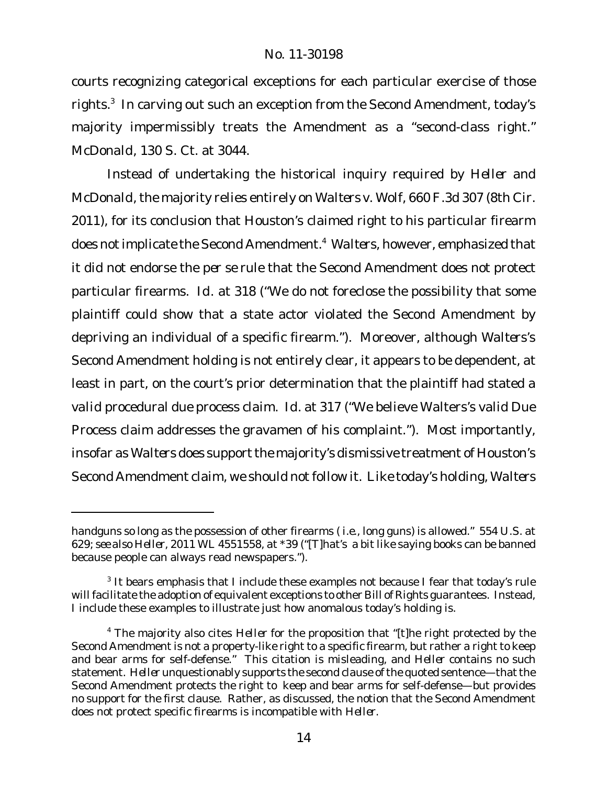courts recognizing categorical exceptions for each particular exercise of those rights. $^3\,$  In carving out such an exception from the Second Amendment, today's majority impermissibly treats the Amendment as a "second-class right." *McDonald*, 130 S. Ct. at 3044.

Instead of undertaking the historical inquiry required by *Heller* and *McDonald*, the majority relies entirely on *Walters v. Wolf*, 660 F.3d 307 (8th Cir. 2011), for its conclusion that Houston's claimed right to his particular firearm does notimplicate the Second Amendment.<sup>4</sup> *Walters*, however, emphasized that it did not endorse the *per se* rule that the Second Amendment does not protect particular firearms. *Id.* at 318 ("We do not foreclose the possibility that some plaintiff could show that a state actor violated the Second Amendment by depriving an individual of a specific firearm."). Moreover, although *Walters*'s Second Amendment holding is not entirely clear, it appears to be dependent, at least in part, on the court's prior determination that the plaintiff had stated a *valid* procedural due process claim. *Id.* at 317 ("We believe Walters's valid Due Process claim addresses the gravamen of his complaint."). Most importantly, insofar as Walters does support the majority's dismissive treatment of Houston's Second Amendment claim, we should not follow it. Like today's holding, *Walters*

handguns so long as the possession of other firearms ( *i.e.*, long guns) is allowed." 554 U.S. at 629; *see also Heller*, 2011 WL 4551558, at \*39 ("[T]hat's a bit like saying books can be banned because people can always read newspapers.").

<sup>&</sup>lt;sup>3</sup> It bears emphasis that I include these examples not because I fear that today's rule will facilitate the adoption of equivalent exceptions to other Bill of Rights guarantees. Instead, I include these examples to illustrate just how anomalous today's holding is.

<sup>4</sup> The majority also cites *Heller* for the proposition that "[t]he right protected by the Second Amendment is not a property-like right to a specific firearm, but rather a right to keep and bear arms for self-defense." This citation is misleading, and *Heller* contains no such statement. Heller unquestionably supports the second clause of the quoted sentence—that the Second Amendment protects the right to keep and bear arms for self-defense—but provides no support for the first clause. Rather, as discussed, the notion that the Second Amendment does not protect specific firearms is incompatible with *Heller*.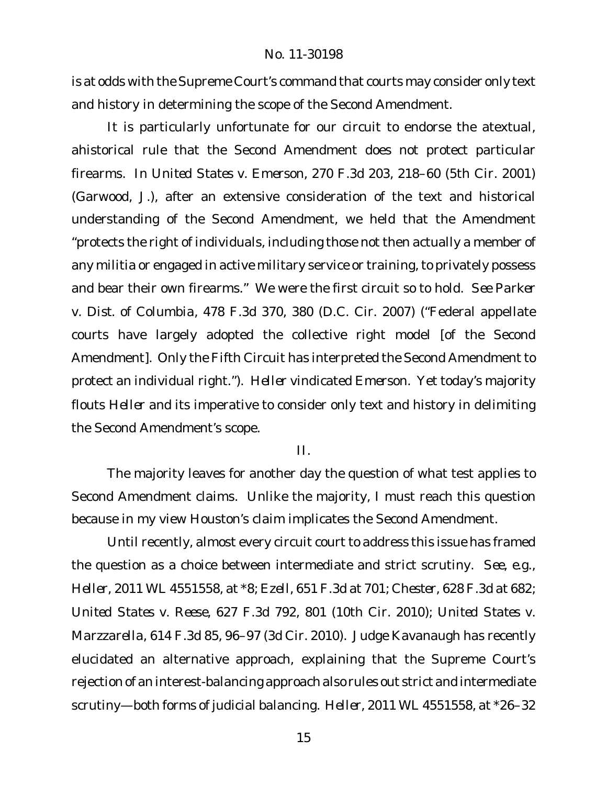is at odds with the Supreme Court's command that courts may consider only text and history in determining the scope of the Second Amendment.

It is particularly unfortunate for our circuit to endorse the atextual, ahistorical rule that the Second Amendment does not protect particular firearms. In *United States v. Emerson*, 270 F.3d 203, 218–60 (5th Cir. 2001) (Garwood, J.), after an extensive consideration of the text and historical understanding of the Second Amendment, we held that the Amendment "protects the right of individuals, including those not then actually a member of any militia or engaged in active military service or training, to privately possess and bear their own firearms." We were the first circuit so to hold. *See Parker v. Dist. of Columbia*, 478 F.3d 370, 380 (D.C. Cir. 2007) ("Federal appellate courts have largely adopted the collective right model [of the Second Amendment]. Only the Fifth Circuit has interpreted the Second Amendment to protect an individual right."). *Heller* vindicated *Emerson*. Yet today's majority flouts *Heller* and its imperative to consider only text and history in delimiting the Second Amendment's scope.

II.

The majority leaves for another day the question of what test applies to Second Amendment claims. Unlike the majority, I must reach this question because in my view Houston's claim implicates the Second Amendment.

Until recently, almost every circuit court to address this issue has framed the question as a choice between intermediate and strict scrutiny. *See, e.g., Heller*, 2011 WL 4551558, at \*8; *Ezell*, 651 F.3d at 701; *Chester*, 628 F.3d at 682; *United States v. Reese*, 627 F.3d 792, 801 (10th Cir. 2010); *United States v. Marzzarella*, 614 F.3d 85, 96–97 (3d Cir. 2010). Judge Kavanaugh has recently elucidated an alternative approach, explaining that the Supreme Court's rejection of an interest-balancing approach also rules out strict and intermediate scrutiny—both forms of judicial balancing. *Heller*, 2011 WL 4551558, at \*26–32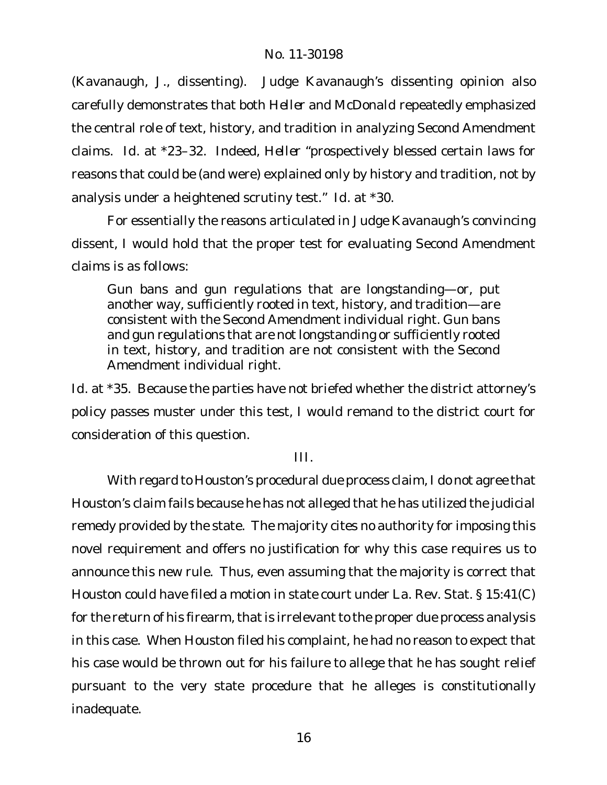(Kavanaugh, J., dissenting). Judge Kavanaugh's dissenting opinion also carefully demonstrates that both *Heller* and *McDonald* repeatedly emphasized the central role of text, history, and tradition in analyzing Second Amendment claims. *Id.* at \*23–32. Indeed, *Heller* "prospectively blessed certain laws for reasons that could be (and were) explained only by history and tradition, not by analysis under a heightened scrutiny test." *Id.* at \*30.

For essentially the reasons articulated in Judge Kavanaugh's convincing dissent, I would hold that the proper test for evaluating Second Amendment claims is as follows:

Gun bans and gun regulations that are longstanding—or, put another way, sufficiently rooted in text, history, and tradition—are consistent with the Second Amendment individual right. Gun bans and gun regulations that are not longstanding or sufficiently rooted in text, history, and tradition are not consistent with the Second Amendment individual right.

*Id.* at \*35. Because the parties have not briefed whether the district attorney's policy passes muster under this test, I would remand to the district court for consideration of this question.

III.

With regard to Houston's procedural due process claim, I do not agree that Houston's claim fails because he has not alleged that he has utilized the judicial remedy provided by the state. The majority cites no authority for imposing this novel requirement and offers no justification for why this case requires us to announce this new rule. Thus, even assuming that the majority is correct that Houston could have filed a motion in state court under La. Rev. Stat. § 15:41(C) for the return of his firearm, that is irrelevant to the proper due process analysis in this case. When Houston filed his complaint, he had no reason to expect that his case would be thrown out for his failure to allege that he has sought relief pursuant to the very state procedure that he alleges is constitutionally inadequate.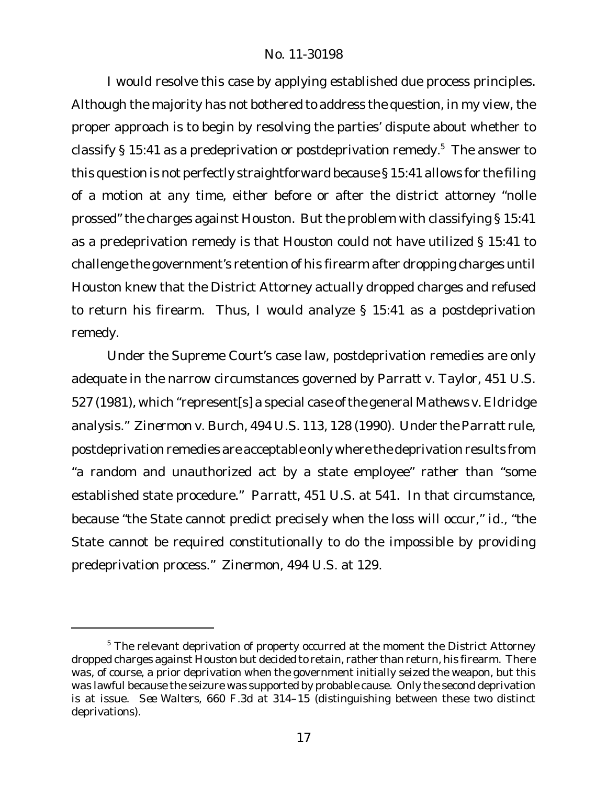I would resolve this case by applying established due process principles. Although the majority has not bothered to address the question, in my view, the proper approach is to begin by resolving the parties' dispute about whether to classify  $\S 15:41$  as a predeprivation or postdeprivation remedy.<sup>5</sup> The answer to this question is not perfectly straightforward because § 15:41 allows for the filing of a motion at any time, either before or after the district attorney "nolle prossed" the charges against Houston. But the problem with classifying § 15:41 as a predeprivation remedy is that Houston could not have utilized § 15:41 to challenge the government's retention of his firearm after dropping charges until Houston knew that the District Attorney actually dropped charges and refused to return his firearm. Thus, I would analyze § 15:41 as a postdeprivation remedy.

Under the Supreme Court's case law, postdeprivation remedies are only adequate in the narrow circumstances governed by *Parratt v. Taylor*, 451 U.S. 527 (1981), which "represent[s] a special case ofthe general *Mathews v. Eldridge* analysis." *Zinermon v. Burch*, 494 U.S. 113, 128 (1990). Under the *Parratt* rule, postdeprivation remedies are acceptable only where the deprivation results from "a random and unauthorized act by a state employee" rather than "some established state procedure." *Parratt*, 451 U.S. at 541. In that circumstance, because "the State cannot predict precisely when the loss will occur," *id.*, "the State cannot be required constitutionally to do the impossible by providing predeprivation process." *Zinermon*, 494 U.S. at 129.

 $5$  The relevant deprivation of property occurred at the moment the District Attorney dropped charges against Houston but decided to retain, rather than return, his firearm. There was, of course, a prior deprivation when the government initially seized the weapon, but this was lawful because the seizure was supported by probable cause. Only the second deprivation is at issue. *See Walters*, 660 F.3d at 314–15 (distinguishing between these two distinct deprivations).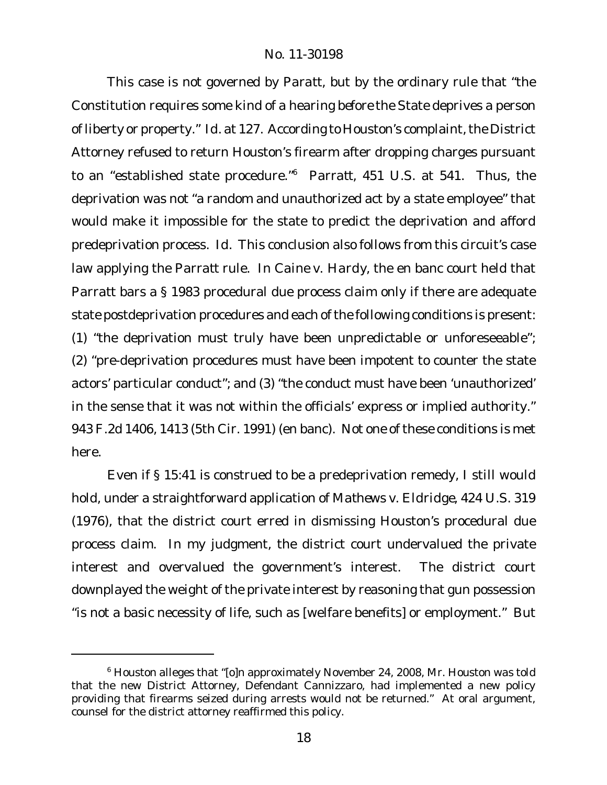This case is not governed by *Paratt*, but by the ordinary rule that "the Constitution requires some kind of a hearing *before* the State deprives a person of liberty or property." *Id.* at 127. According to Houston's complaint, the District Attorney refused to return Houston's firearm after dropping charges pursuant to an "established state procedure."<sup>6</sup> *Parratt*, 451 U.S. at 541. Thus, the deprivation was not "a random and unauthorized act by a state employee" that would make it impossible for the state to predict the deprivation and afford predeprivation process. *Id.* This conclusion also follows from this circuit's case law applying the *Parratt* rule. In *Caine v. Hardy*, the en banc court held that *Parratt* bars a § 1983 procedural due process claim only if there are adequate state postdeprivation procedures and each of the following conditions is present: (1) "the deprivation must truly have been unpredictable or unforeseeable"; (2) "pre-deprivation procedures must have been impotent to counter the state actors' particular conduct"; and (3) "the conduct must have been 'unauthorized' in the sense that it was not within the officials' express or implied authority." 943 F.2d 1406, 1413 (5th Cir. 1991) (en banc). Not one of these conditions is met here.

Even if § 15:41 is construed to be a predeprivation remedy, I still would hold, under a straightforward application of *Mathews v. Eldridge*, 424 U.S. 319 (1976), that the district court erred in dismissing Houston's procedural due process claim. In my judgment, the district court undervalued the private interest and overvalued the government's interest. The district court downplayed the weight of the private interest by reasoning that gun possession "is not a basic necessity of life, such as [welfare benefits] or employment." But

<sup>6</sup> Houston alleges that "[o]n approximately November 24, 2008, Mr. Houston was told that the new District Attorney, Defendant Cannizzaro, had implemented a new policy providing that firearms seized during arrests would not be returned." At oral argument, counsel for the district attorney reaffirmed this policy.